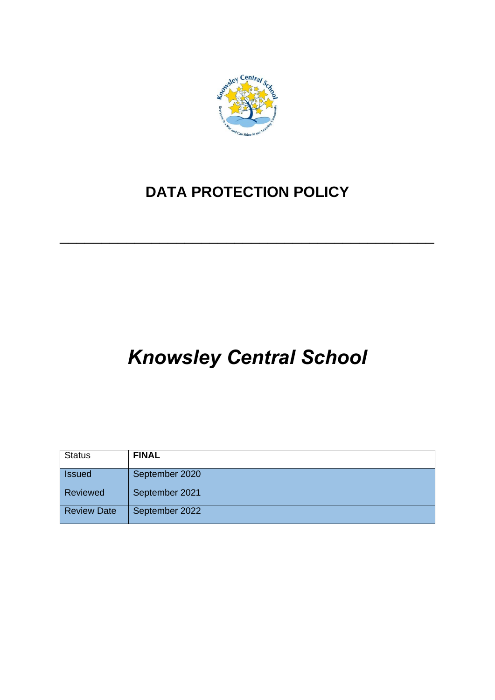

# **DATA PROTECTION POLICY**

\_\_\_\_\_\_\_\_\_\_\_\_\_\_\_\_\_\_\_\_\_\_\_\_\_\_\_\_\_\_\_\_\_\_\_\_\_\_\_\_\_\_\_\_\_

# *Knowsley Central School*

| <b>Status</b>      | <b>FINAL</b>   |
|--------------------|----------------|
| <b>Issued</b>      | September 2020 |
| Reviewed           | September 2021 |
| <b>Review Date</b> | September 2022 |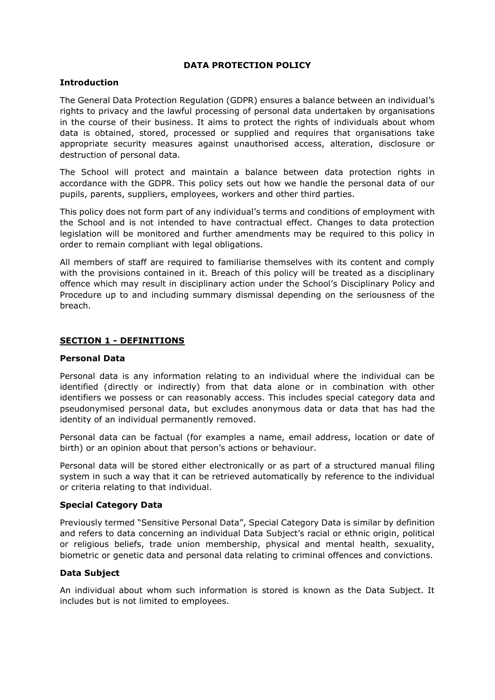#### **DATA PROTECTION POLICY**

#### **Introduction**

The General Data Protection Regulation (GDPR) ensures a balance between an individual's rights to privacy and the lawful processing of personal data undertaken by organisations in the course of their business. It aims to protect the rights of individuals about whom data is obtained, stored, processed or supplied and requires that organisations take appropriate security measures against unauthorised access, alteration, disclosure or destruction of personal data.

The School will protect and maintain a balance between data protection rights in accordance with the GDPR. This policy sets out how we handle the personal data of our pupils, parents, suppliers, employees, workers and other third parties.

This policy does not form part of any individual's terms and conditions of employment with the School and is not intended to have contractual effect. Changes to data protection legislation will be monitored and further amendments may be required to this policy in order to remain compliant with legal obligations.

All members of staff are required to familiarise themselves with its content and comply with the provisions contained in it. Breach of this policy will be treated as a disciplinary offence which may result in disciplinary action under the School's Disciplinary Policy and Procedure up to and including summary dismissal depending on the seriousness of the breach.

# **SECTION 1 - DEFINITIONS**

#### **Personal Data**

Personal data is any information relating to an individual where the individual can be identified (directly or indirectly) from that data alone or in combination with other identifiers we possess or can reasonably access. This includes special category data and pseudonymised personal data, but excludes anonymous data or data that has had the identity of an individual permanently removed.

Personal data can be factual (for examples a name, email address, location or date of birth) or an opinion about that person's actions or behaviour.

Personal data will be stored either electronically or as part of a structured manual filing system in such a way that it can be retrieved automatically by reference to the individual or criteria relating to that individual.

#### **Special Category Data**

Previously termed "Sensitive Personal Data", Special Category Data is similar by definition and refers to data concerning an individual Data Subject's racial or ethnic origin, political or religious beliefs, trade union membership, physical and mental health, sexuality, biometric or genetic data and personal data relating to criminal offences and convictions.

#### **Data Subject**

An individual about whom such information is stored is known as the Data Subject. It includes but is not limited to employees.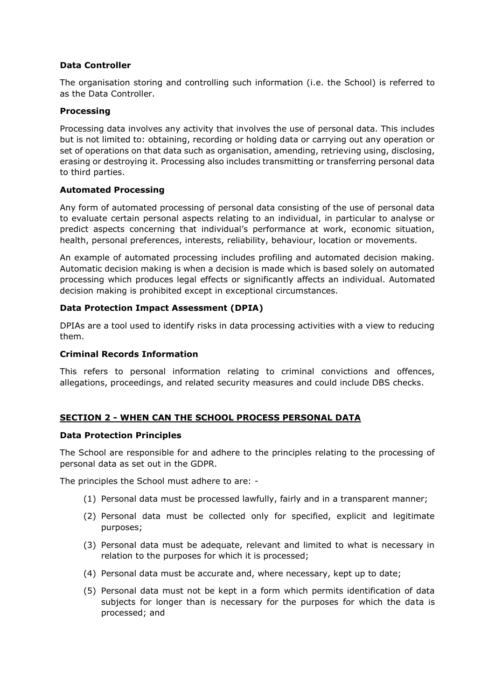# **Data Controller**

The organisation storing and controlling such information (i.e. the School) is referred to as the Data Controller.

#### **Processing**

Processing data involves any activity that involves the use of personal data. This includes but is not limited to: obtaining, recording or holding data or carrying out any operation or set of operations on that data such as organisation, amending, retrieving using, disclosing, erasing or destroying it. Processing also includes transmitting or transferring personal data to third parties.

#### **Automated Processing**

Any form of automated processing of personal data consisting of the use of personal data to evaluate certain personal aspects relating to an individual, in particular to analyse or predict aspects concerning that individual's performance at work, economic situation, health, personal preferences, interests, reliability, behaviour, location or movements.

An example of automated processing includes profiling and automated decision making. Automatic decision making is when a decision is made which is based solely on automated processing which produces legal effects or significantly affects an individual. Automated decision making is prohibited except in exceptional circumstances.

#### **Data Protection Impact Assessment (DPIA)**

DPIAs are a tool used to identify risks in data processing activities with a view to reducing them.

#### **Criminal Records Information**

This refers to personal information relating to criminal convictions and offences, allegations, proceedings, and related security measures and could include DBS checks.

# **SECTION 2 - WHEN CAN THE SCHOOL PROCESS PERSONAL DATA**

#### **Data Protection Principles**

The School are responsible for and adhere to the principles relating to the processing of personal data as set out in the GDPR.

The principles the School must adhere to are: -

- (1) Personal data must be processed lawfully, fairly and in a transparent manner;
- (2) Personal data must be collected only for specified, explicit and legitimate purposes;
- (3) Personal data must be adequate, relevant and limited to what is necessary in relation to the purposes for which it is processed;
- (4) Personal data must be accurate and, where necessary, kept up to date;
- (5) Personal data must not be kept in a form which permits identification of data subjects for longer than is necessary for the purposes for which the data is processed; and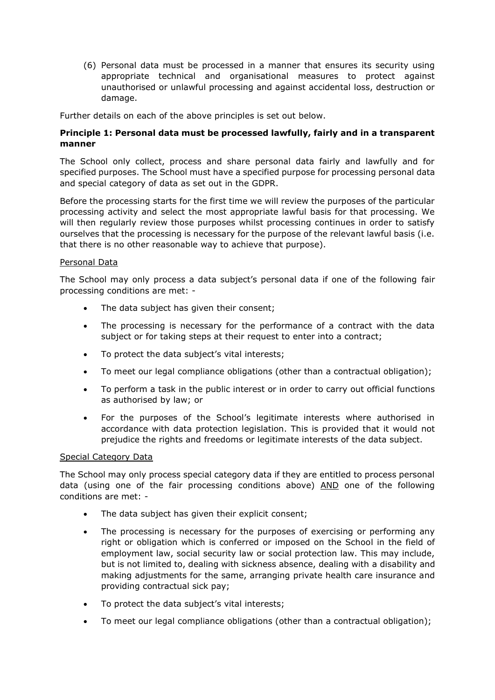(6) Personal data must be processed in a manner that ensures its security using appropriate technical and organisational measures to protect against unauthorised or unlawful processing and against accidental loss, destruction or damage.

Further details on each of the above principles is set out below.

# **Principle 1: Personal data must be processed lawfully, fairly and in a transparent manner**

The School only collect, process and share personal data fairly and lawfully and for specified purposes. The School must have a specified purpose for processing personal data and special category of data as set out in the GDPR.

Before the processing starts for the first time we will review the purposes of the particular processing activity and select the most appropriate lawful basis for that processing. We will then regularly review those purposes whilst processing continues in order to satisfy ourselves that the processing is necessary for the purpose of the relevant lawful basis (i.e. that there is no other reasonable way to achieve that purpose).

#### Personal Data

The School may only process a data subject's personal data if one of the following fair processing conditions are met: -

- The data subject has given their consent;
- The processing is necessary for the performance of a contract with the data subject or for taking steps at their request to enter into a contract;
- To protect the data subject's vital interests;
- To meet our legal compliance obligations (other than a contractual obligation);
- To perform a task in the public interest or in order to carry out official functions as authorised by law; or
- For the purposes of the School's legitimate interests where authorised in accordance with data protection legislation. This is provided that it would not prejudice the rights and freedoms or legitimate interests of the data subject.

#### Special Category Data

The School may only process special category data if they are entitled to process personal data (using one of the fair processing conditions above) AND one of the following conditions are met: -

- The data subject has given their explicit consent;
- The processing is necessary for the purposes of exercising or performing any right or obligation which is conferred or imposed on the School in the field of employment law, social security law or social protection law. This may include, but is not limited to, dealing with sickness absence, dealing with a disability and making adjustments for the same, arranging private health care insurance and providing contractual sick pay;
- To protect the data subject's vital interests;
- To meet our legal compliance obligations (other than a contractual obligation);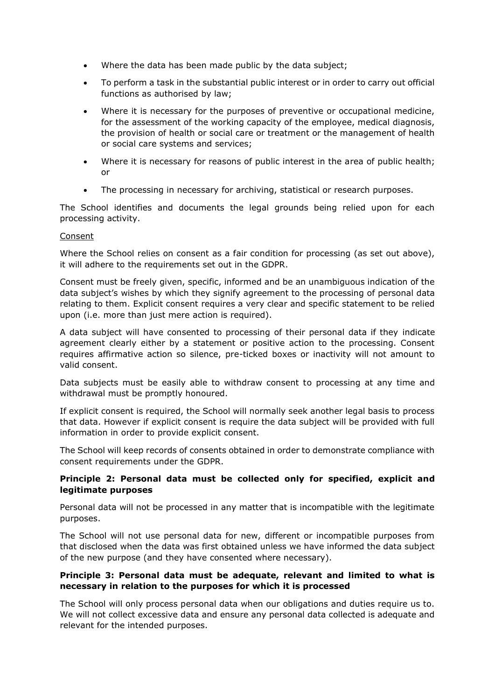- Where the data has been made public by the data subject;
- To perform a task in the substantial public interest or in order to carry out official functions as authorised by law;
- Where it is necessary for the purposes of preventive or occupational medicine, for the assessment of the working capacity of the employee, medical diagnosis, the provision of health or social care or treatment or the management of health or social care systems and services;
- Where it is necessary for reasons of public interest in the area of public health; or
- The processing in necessary for archiving, statistical or research purposes.

The School identifies and documents the legal grounds being relied upon for each processing activity.

#### Consent

Where the School relies on consent as a fair condition for processing (as set out above), it will adhere to the requirements set out in the GDPR.

Consent must be freely given, specific, informed and be an unambiguous indication of the data subject's wishes by which they signify agreement to the processing of personal data relating to them. Explicit consent requires a very clear and specific statement to be relied upon (i.e. more than just mere action is required).

A data subject will have consented to processing of their personal data if they indicate agreement clearly either by a statement or positive action to the processing. Consent requires affirmative action so silence, pre-ticked boxes or inactivity will not amount to valid consent.

Data subjects must be easily able to withdraw consent to processing at any time and withdrawal must be promptly honoured.

If explicit consent is required, the School will normally seek another legal basis to process that data. However if explicit consent is require the data subject will be provided with full information in order to provide explicit consent.

The School will keep records of consents obtained in order to demonstrate compliance with consent requirements under the GDPR.

#### **Principle 2: Personal data must be collected only for specified, explicit and legitimate purposes**

Personal data will not be processed in any matter that is incompatible with the legitimate purposes.

The School will not use personal data for new, different or incompatible purposes from that disclosed when the data was first obtained unless we have informed the data subject of the new purpose (and they have consented where necessary).

#### **Principle 3: Personal data must be adequate, relevant and limited to what is necessary in relation to the purposes for which it is processed**

The School will only process personal data when our obligations and duties require us to. We will not collect excessive data and ensure any personal data collected is adequate and relevant for the intended purposes.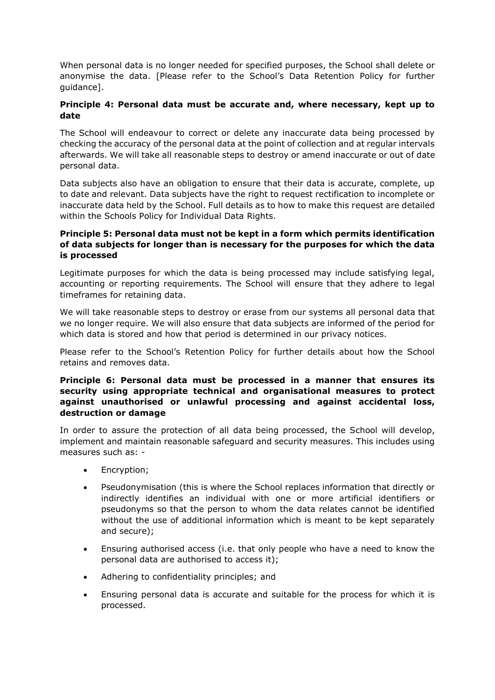When personal data is no longer needed for specified purposes, the School shall delete or anonymise the data. [Please refer to the School's Data Retention Policy for further guidance].

# **Principle 4: Personal data must be accurate and, where necessary, kept up to date**

The School will endeavour to correct or delete any inaccurate data being processed by checking the accuracy of the personal data at the point of collection and at regular intervals afterwards. We will take all reasonable steps to destroy or amend inaccurate or out of date personal data.

Data subjects also have an obligation to ensure that their data is accurate, complete, up to date and relevant. Data subjects have the right to request rectification to incomplete or inaccurate data held by the School. Full details as to how to make this request are detailed within the Schools Policy for Individual Data Rights.

# **Principle 5: Personal data must not be kept in a form which permits identification of data subjects for longer than is necessary for the purposes for which the data is processed**

Legitimate purposes for which the data is being processed may include satisfying legal, accounting or reporting requirements. The School will ensure that they adhere to legal timeframes for retaining data.

We will take reasonable steps to destroy or erase from our systems all personal data that we no longer require. We will also ensure that data subjects are informed of the period for which data is stored and how that period is determined in our privacy notices.

Please refer to the School's Retention Policy for further details about how the School retains and removes data.

### **Principle 6: Personal data must be processed in a manner that ensures its security using appropriate technical and organisational measures to protect against unauthorised or unlawful processing and against accidental loss, destruction or damage**

In order to assure the protection of all data being processed, the School will develop, implement and maintain reasonable safeguard and security measures. This includes using measures such as: -

- Encryption;
- Pseudonymisation (this is where the School replaces information that directly or indirectly identifies an individual with one or more artificial identifiers or pseudonyms so that the person to whom the data relates cannot be identified without the use of additional information which is meant to be kept separately and secure);
- Ensuring authorised access (i.e. that only people who have a need to know the personal data are authorised to access it);
- Adhering to confidentiality principles; and
- Ensuring personal data is accurate and suitable for the process for which it is processed.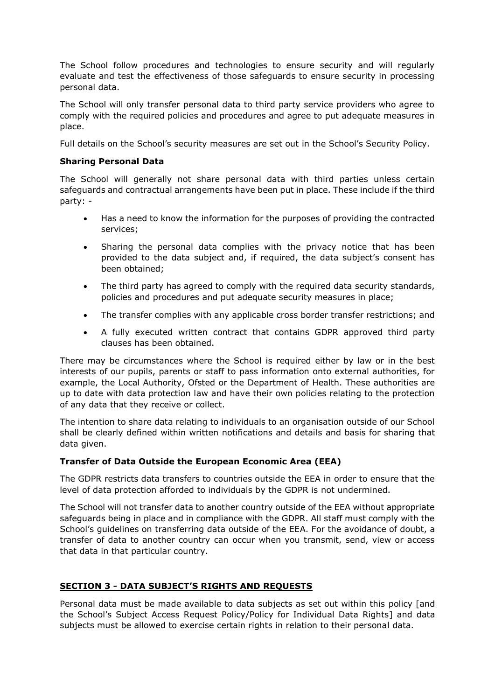The School follow procedures and technologies to ensure security and will regularly evaluate and test the effectiveness of those safeguards to ensure security in processing personal data.

The School will only transfer personal data to third party service providers who agree to comply with the required policies and procedures and agree to put adequate measures in place.

Full details on the School's security measures are set out in the School's Security Policy.

# **Sharing Personal Data**

The School will generally not share personal data with third parties unless certain safeguards and contractual arrangements have been put in place. These include if the third party: -

- Has a need to know the information for the purposes of providing the contracted services;
- Sharing the personal data complies with the privacy notice that has been provided to the data subject and, if required, the data subject's consent has been obtained;
- The third party has agreed to comply with the required data security standards, policies and procedures and put adequate security measures in place;
- The transfer complies with any applicable cross border transfer restrictions; and
- A fully executed written contract that contains GDPR approved third party clauses has been obtained.

There may be circumstances where the School is required either by law or in the best interests of our pupils, parents or staff to pass information onto external authorities, for example, the Local Authority, Ofsted or the Department of Health. These authorities are up to date with data protection law and have their own policies relating to the protection of any data that they receive or collect.

The intention to share data relating to individuals to an organisation outside of our School shall be clearly defined within written notifications and details and basis for sharing that data given.

# **Transfer of Data Outside the European Economic Area (EEA)**

The GDPR restricts data transfers to countries outside the EEA in order to ensure that the level of data protection afforded to individuals by the GDPR is not undermined.

The School will not transfer data to another country outside of the EEA without appropriate safeguards being in place and in compliance with the GDPR. All staff must comply with the School's guidelines on transferring data outside of the EEA. For the avoidance of doubt, a transfer of data to another country can occur when you transmit, send, view or access that data in that particular country.

# **SECTION 3 - DATA SUBJECT'S RIGHTS AND REQUESTS**

Personal data must be made available to data subjects as set out within this policy [and the School's Subject Access Request Policy/Policy for Individual Data Rights] and data subjects must be allowed to exercise certain rights in relation to their personal data.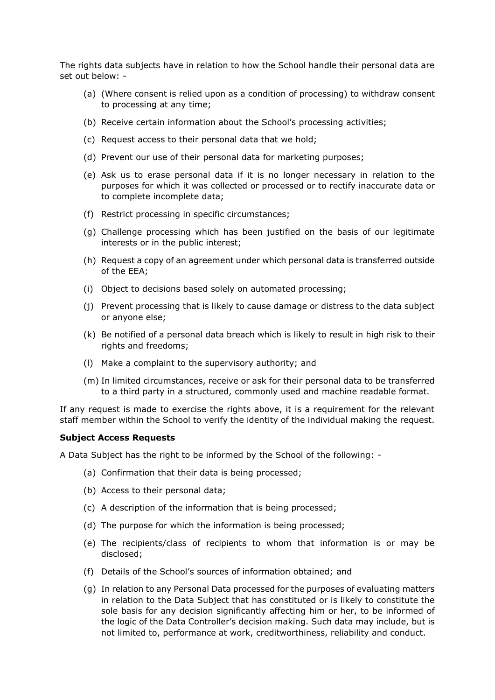The rights data subjects have in relation to how the School handle their personal data are set out below: -

- (a) (Where consent is relied upon as a condition of processing) to withdraw consent to processing at any time;
- (b) Receive certain information about the School's processing activities;
- (c) Request access to their personal data that we hold;
- (d) Prevent our use of their personal data for marketing purposes;
- (e) Ask us to erase personal data if it is no longer necessary in relation to the purposes for which it was collected or processed or to rectify inaccurate data or to complete incomplete data;
- (f) Restrict processing in specific circumstances;
- (g) Challenge processing which has been justified on the basis of our legitimate interests or in the public interest;
- (h) Request a copy of an agreement under which personal data is transferred outside of the EEA;
- (i) Object to decisions based solely on automated processing;
- (j) Prevent processing that is likely to cause damage or distress to the data subject or anyone else;
- (k) Be notified of a personal data breach which is likely to result in high risk to their rights and freedoms;
- (l) Make a complaint to the supervisory authority; and
- (m) In limited circumstances, receive or ask for their personal data to be transferred to a third party in a structured, commonly used and machine readable format.

If any request is made to exercise the rights above, it is a requirement for the relevant staff member within the School to verify the identity of the individual making the request.

#### **Subject Access Requests**

A Data Subject has the right to be informed by the School of the following: -

- (a) Confirmation that their data is being processed;
- (b) Access to their personal data;
- (c) A description of the information that is being processed;
- (d) The purpose for which the information is being processed;
- (e) The recipients/class of recipients to whom that information is or may be disclosed;
- (f) Details of the School's sources of information obtained; and
- (g) In relation to any Personal Data processed for the purposes of evaluating matters in relation to the Data Subject that has constituted or is likely to constitute the sole basis for any decision significantly affecting him or her, to be informed of the logic of the Data Controller's decision making. Such data may include, but is not limited to, performance at work, creditworthiness, reliability and conduct.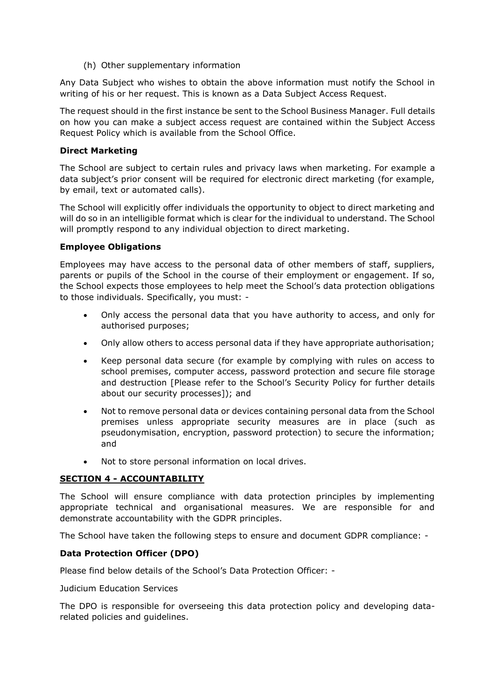(h) Other supplementary information

Any Data Subject who wishes to obtain the above information must notify the School in writing of his or her request. This is known as a Data Subject Access Request.

The request should in the first instance be sent to the School Business Manager. Full details on how you can make a subject access request are contained within the Subject Access Request Policy which is available from the School Office.

### **Direct Marketing**

The School are subject to certain rules and privacy laws when marketing. For example a data subject's prior consent will be required for electronic direct marketing (for example, by email, text or automated calls).

The School will explicitly offer individuals the opportunity to object to direct marketing and will do so in an intelligible format which is clear for the individual to understand. The School will promptly respond to any individual objection to direct marketing.

#### **Employee Obligations**

Employees may have access to the personal data of other members of staff, suppliers, parents or pupils of the School in the course of their employment or engagement. If so, the School expects those employees to help meet the School's data protection obligations to those individuals. Specifically, you must: -

- Only access the personal data that you have authority to access, and only for authorised purposes;
- Only allow others to access personal data if they have appropriate authorisation;
- Keep personal data secure (for example by complying with rules on access to school premises, computer access, password protection and secure file storage and destruction [Please refer to the School's Security Policy for further details about our security processes]); and
- Not to remove personal data or devices containing personal data from the School premises unless appropriate security measures are in place (such as pseudonymisation, encryption, password protection) to secure the information; and
- Not to store personal information on local drives.

# **SECTION 4 - ACCOUNTABILITY**

The School will ensure compliance with data protection principles by implementing appropriate technical and organisational measures. We are responsible for and demonstrate accountability with the GDPR principles.

The School have taken the following steps to ensure and document GDPR compliance: -

# **Data Protection Officer (DPO)**

Please find below details of the School's Data Protection Officer: -

Judicium Education Services

The DPO is responsible for overseeing this data protection policy and developing datarelated policies and guidelines.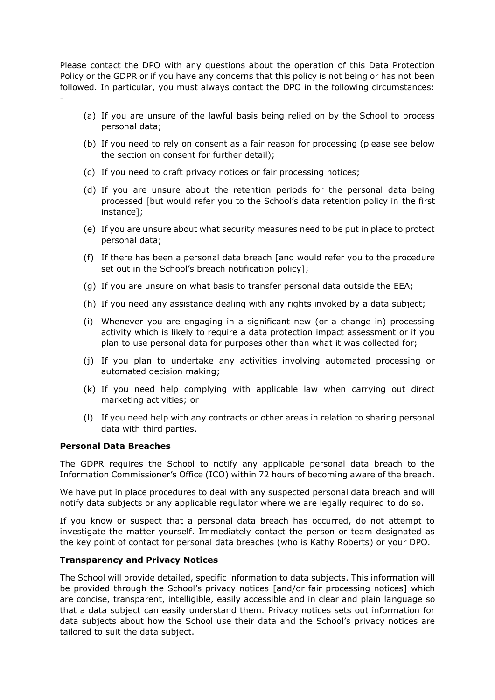Please contact the DPO with any questions about the operation of this Data Protection Policy or the GDPR or if you have any concerns that this policy is not being or has not been followed. In particular, you must always contact the DPO in the following circumstances: -

- (a) If you are unsure of the lawful basis being relied on by the School to process personal data;
- (b) If you need to rely on consent as a fair reason for processing (please see below the section on consent for further detail);
- (c) If you need to draft privacy notices or fair processing notices;
- (d) If you are unsure about the retention periods for the personal data being processed [but would refer you to the School's data retention policy in the first instance];
- (e) If you are unsure about what security measures need to be put in place to protect personal data;
- (f) If there has been a personal data breach [and would refer you to the procedure set out in the School's breach notification policy];
- (g) If you are unsure on what basis to transfer personal data outside the EEA;
- (h) If you need any assistance dealing with any rights invoked by a data subject;
- (i) Whenever you are engaging in a significant new (or a change in) processing activity which is likely to require a data protection impact assessment or if you plan to use personal data for purposes other than what it was collected for;
- (j) If you plan to undertake any activities involving automated processing or automated decision making;
- (k) If you need help complying with applicable law when carrying out direct marketing activities; or
- (l) If you need help with any contracts or other areas in relation to sharing personal data with third parties.

#### **Personal Data Breaches**

The GDPR requires the School to notify any applicable personal data breach to the Information Commissioner's Office (ICO) within 72 hours of becoming aware of the breach.

We have put in place procedures to deal with any suspected personal data breach and will notify data subjects or any applicable regulator where we are legally required to do so.

If you know or suspect that a personal data breach has occurred, do not attempt to investigate the matter yourself. Immediately contact the person or team designated as the key point of contact for personal data breaches (who is Kathy Roberts) or your DPO.

#### **Transparency and Privacy Notices**

The School will provide detailed, specific information to data subjects. This information will be provided through the School's privacy notices [and/or fair processing notices] which are concise, transparent, intelligible, easily accessible and in clear and plain language so that a data subject can easily understand them. Privacy notices sets out information for data subjects about how the School use their data and the School's privacy notices are tailored to suit the data subject.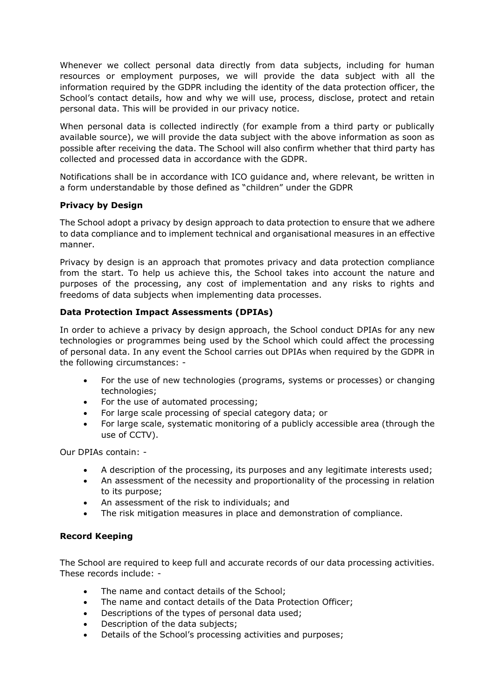Whenever we collect personal data directly from data subjects, including for human resources or employment purposes, we will provide the data subject with all the information required by the GDPR including the identity of the data protection officer, the School's contact details, how and why we will use, process, disclose, protect and retain personal data. This will be provided in our privacy notice.

When personal data is collected indirectly (for example from a third party or publically available source), we will provide the data subject with the above information as soon as possible after receiving the data. The School will also confirm whether that third party has collected and processed data in accordance with the GDPR.

Notifications shall be in accordance with ICO guidance and, where relevant, be written in a form understandable by those defined as "children" under the GDPR

# **Privacy by Design**

The School adopt a privacy by design approach to data protection to ensure that we adhere to data compliance and to implement technical and organisational measures in an effective manner.

Privacy by design is an approach that promotes privacy and data protection compliance from the start. To help us achieve this, the School takes into account the nature and purposes of the processing, any cost of implementation and any risks to rights and freedoms of data subjects when implementing data processes.

# **Data Protection Impact Assessments (DPIAs)**

In order to achieve a privacy by design approach, the School conduct DPIAs for any new technologies or programmes being used by the School which could affect the processing of personal data. In any event the School carries out DPIAs when required by the GDPR in the following circumstances: -

- For the use of new technologies (programs, systems or processes) or changing technologies;
- For the use of automated processing;
- For large scale processing of special category data; or
- For large scale, systematic monitoring of a publicly accessible area (through the use of CCTV).

Our DPIAs contain: -

- A description of the processing, its purposes and any legitimate interests used;
- An assessment of the necessity and proportionality of the processing in relation to its purpose;
- An assessment of the risk to individuals; and
- The risk mitigation measures in place and demonstration of compliance.

#### **Record Keeping**

The School are required to keep full and accurate records of our data processing activities. These records include: -

- The name and contact details of the School:
- The name and contact details of the Data Protection Officer;
- Descriptions of the types of personal data used;
- Description of the data subjects;
- Details of the School's processing activities and purposes;